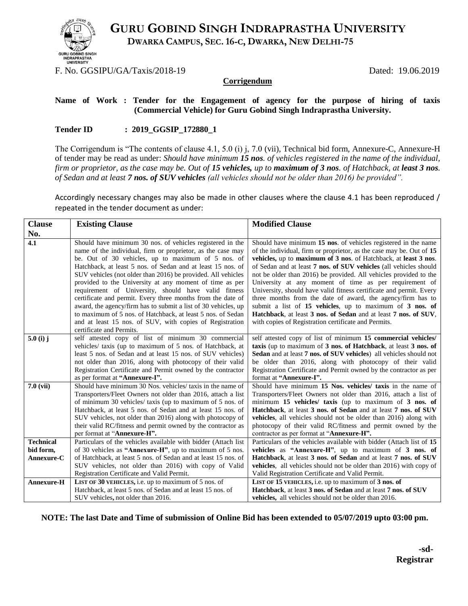

**GURU GOBIND SINGH INDRAPRASTHA UNIVERSITY**

 **DWARKA CAMPUS, SEC. 16-C, DWARKA, NEW DELHI-75**

F. No. GGSIPU/GA/Taxis/2018-19 Dated: 19.06.2019

#### **Corrigendum**

#### **Name of Work : Tender for the Engagement of agency for the purpose of hiring of taxis (Commercial Vehicle) for Guru Gobind Singh Indraprastha University.**

### **Tender ID : 2019\_GGSIP\_172880\_1**

The Corrigendum is "The contents of clause 4.1, 5.0 (i) j, 7.0 (vii), Technical bid form, Annexure-C, Annexure-H of tender may be read as under: *Should have minimum 15 nos. of vehicles registered in the name of the individual, firm or proprietor, as the case may be. Out of 15 vehicles, up to maximum of 3 nos. of Hatchback, at least 3 nos. of Sedan and at least 7 nos. of SUV vehicles (all vehicles should not be older than 2016) be provided".*

Accordingly necessary changes may also be made in other clauses where the clause 4.1 has been reproduced / repeated in the tender document as under:

| <b>Clause</b>     | <b>Existing Clause</b>                                                                                                                                                                                                                                                                                                                                                                                                                                                                                                                                                                                                                                                                                                   | <b>Modified Clause</b>                                                                                                                                                                                                                                                                                                                                                                                                                                                                                                                                                                                                                                                                                                                     |  |
|-------------------|--------------------------------------------------------------------------------------------------------------------------------------------------------------------------------------------------------------------------------------------------------------------------------------------------------------------------------------------------------------------------------------------------------------------------------------------------------------------------------------------------------------------------------------------------------------------------------------------------------------------------------------------------------------------------------------------------------------------------|--------------------------------------------------------------------------------------------------------------------------------------------------------------------------------------------------------------------------------------------------------------------------------------------------------------------------------------------------------------------------------------------------------------------------------------------------------------------------------------------------------------------------------------------------------------------------------------------------------------------------------------------------------------------------------------------------------------------------------------------|--|
| No.               |                                                                                                                                                                                                                                                                                                                                                                                                                                                                                                                                                                                                                                                                                                                          |                                                                                                                                                                                                                                                                                                                                                                                                                                                                                                                                                                                                                                                                                                                                            |  |
| 4.1               | Should have minimum 30 nos. of vehicles registered in the<br>name of the individual, firm or proprietor, as the case may<br>be. Out of 30 vehicles, up to maximum of 5 nos. of<br>Hatchback, at least 5 nos. of Sedan and at least 15 nos. of<br>SUV vehicles (not older than 2016) be provided. All vehicles<br>provided to the University at any moment of time as per<br>requirement of University, should have valid fitness<br>certificate and permit. Every three months from the date of<br>award, the agency/firm has to submit a list of 30 vehicles, up<br>to maximum of 5 nos. of Hatchback, at least 5 nos. of Sedan<br>and at least 15 nos. of SUV, with copies of Registration<br>certificate and Permits. | Should have minimum 15 nos. of vehicles registered in the name<br>of the individual, firm or proprietor, as the case may be. Out of 15<br>vehicles, up to maximum of 3 nos. of Hatchback, at least 3 nos.<br>of Sedan and at least 7 nos. of SUV vehicles (all vehicles should<br>not be older than 2016) be provided. All vehicles provided to the<br>University at any moment of time as per requirement of<br>University, should have valid fitness certificate and permit. Every<br>three months from the date of award, the agency/firm has to<br>submit a list of 15 vehicles, up to maximum of 3 nos. of<br>Hatchback, at least 3 nos. of Sedan and at least 7 nos. of SUV,<br>with copies of Registration certificate and Permits. |  |
| 5.0 (i) $j$       | self attested copy of list of minimum 30 commercial<br>vehicles/ taxis (up to maximum of 5 nos. of Hatchback, at<br>least 5 nos. of Sedan and at least 15 nos. of SUV vehicles)<br>not older than 2016, along with photocopy of their valid<br>Registration Certificate and Permit owned by the contractor<br>as per format at "Annexure-I".                                                                                                                                                                                                                                                                                                                                                                             | self attested copy of list of minimum 15 commercial vehicles/<br>taxis (up to maximum of 3 nos. of Hatchback, at least 3 nos. of<br>Sedan and at least 7 nos. of SUV vehicles) all vehicles should not<br>be older than 2016, along with photocopy of their valid<br>Registration Certificate and Permit owned by the contractor as per<br>format at "Annexure-I".                                                                                                                                                                                                                                                                                                                                                                         |  |
| $7.0$ (vii)       | Should have minimum 30 Nos. vehicles/ taxis in the name of<br>Transporters/Fleet Owners not older than 2016, attach a list<br>of minimum 30 vehicles/ taxis (up to maximum of 5 nos. of<br>Hatchback, at least 5 nos. of Sedan and at least 15 nos. of<br>SUV vehicles, not older than 2016) along with photocopy of<br>their valid RC/fitness and permit owned by the contractor as<br>per format at "Annexure-H".                                                                                                                                                                                                                                                                                                      | Should have minimum 15 Nos. vehicles/ taxis in the name of<br>Transporters/Fleet Owners not older than 2016, attach a list of<br>minimum $15$ vehicles/ taxis (up to maximum of $3$ nos. of<br>Hatchback, at least 3 nos. of Sedan and at least 7 nos. of SUV<br>vehicles, all vehicles should not be older than 2016) along with<br>photocopy of their valid RC/fitness and permit owned by the<br>contractor as per format at "Annexure-H".                                                                                                                                                                                                                                                                                              |  |
| <b>Technical</b>  | Particulars of the vehicles available with bidder (Attach list                                                                                                                                                                                                                                                                                                                                                                                                                                                                                                                                                                                                                                                           | Particulars of the vehicles available with bidder (Attach list of 15                                                                                                                                                                                                                                                                                                                                                                                                                                                                                                                                                                                                                                                                       |  |
| bid form,         | of 30 vehicles as "Annexure-H", up to maximum of 5 nos.                                                                                                                                                                                                                                                                                                                                                                                                                                                                                                                                                                                                                                                                  | vehicles as "Annexure-H", up to maximum of 3 nos. of                                                                                                                                                                                                                                                                                                                                                                                                                                                                                                                                                                                                                                                                                       |  |
| Annexure-C        | of Hatchback, at least 5 nos. of Sedan and at least 15 nos. of                                                                                                                                                                                                                                                                                                                                                                                                                                                                                                                                                                                                                                                           | Hatchback, at least 3 nos. of Sedan and at least 7 nos. of SUV                                                                                                                                                                                                                                                                                                                                                                                                                                                                                                                                                                                                                                                                             |  |
|                   | SUV vehicles, not older than 2016) with copy of Valid                                                                                                                                                                                                                                                                                                                                                                                                                                                                                                                                                                                                                                                                    | <b>vehicles</b> , all vehicles should not be older than 2016) with copy of                                                                                                                                                                                                                                                                                                                                                                                                                                                                                                                                                                                                                                                                 |  |
|                   | Registration Certificate and Valid Permit.                                                                                                                                                                                                                                                                                                                                                                                                                                                                                                                                                                                                                                                                               | Valid Registration Certificate and Valid Permit.                                                                                                                                                                                                                                                                                                                                                                                                                                                                                                                                                                                                                                                                                           |  |
| <b>Annexure-H</b> | LIST OF 30 VEHICLES, i.e. up to maximum of 5 nos. of                                                                                                                                                                                                                                                                                                                                                                                                                                                                                                                                                                                                                                                                     | LIST OF 15 VEHICLES, i.e. up to maximum of 3 nos. of                                                                                                                                                                                                                                                                                                                                                                                                                                                                                                                                                                                                                                                                                       |  |
|                   | Hatchback, at least 5 nos. of Sedan and at least 15 nos. of                                                                                                                                                                                                                                                                                                                                                                                                                                                                                                                                                                                                                                                              | Hatchback, at least 3 nos. of Sedan and at least 7 nos. of SUV                                                                                                                                                                                                                                                                                                                                                                                                                                                                                                                                                                                                                                                                             |  |
|                   | SUV vehicles, not older than 2016.                                                                                                                                                                                                                                                                                                                                                                                                                                                                                                                                                                                                                                                                                       | <b>vehicles</b> , all vehicles should not be older than 2016.                                                                                                                                                                                                                                                                                                                                                                                                                                                                                                                                                                                                                                                                              |  |

**NOTE: The last Date and Time of submission of Online Bid has been extended to 05/07/2019 upto 03:00 pm.**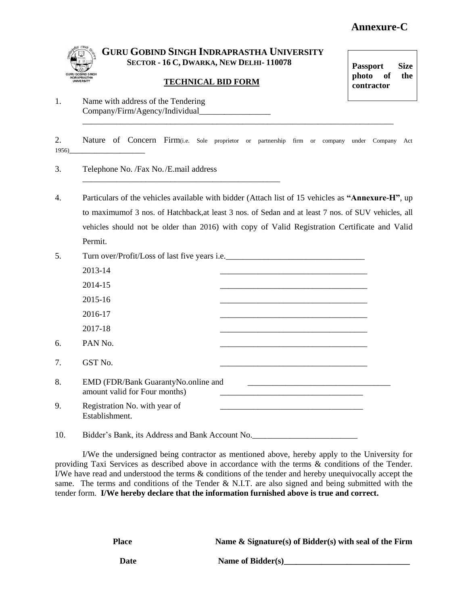# **Annexure-C**



## **GURU GOBIND SINGH INDRAPRASTHA UNIVERSITY SECTOR - 16 C, DWARKA, NEW DELHI- 110078**

### **TECHNICAL BID FORM**

**Passport Size photo of the contractor** 

1. Name with address of the Tendering Company/Firm/Agency/Individual\_\_\_\_\_\_\_\_\_\_\_\_\_\_\_\_\_ \_\_\_\_\_\_\_\_\_\_\_\_\_\_\_\_\_\_\_\_\_\_\_\_\_\_\_\_\_\_\_\_\_\_\_\_\_\_\_\_\_\_\_\_\_\_\_\_\_\_\_\_\_\_\_\_\_\_\_\_\_\_\_\_\_\_\_\_\_\_\_\_\_\_

2. Nature of Concern Firm(i.e. Sole proprietor or partnership firm or company under Company Act 1956)\_\_\_\_\_\_\_\_\_\_\_\_\_\_\_\_\_\_

3. Telephone No. /Fax No./E.mail address

\_\_\_\_\_\_\_\_\_\_\_\_\_\_\_\_\_\_\_\_\_\_\_\_\_\_\_\_\_\_\_\_\_\_\_\_\_\_\_\_\_\_\_\_\_\_\_

4. Particulars of the vehicles available with bidder (Attach list of 15 vehicles as **"Annexure-H"**, up to maximumof 3 nos. of Hatchback,at least 3 nos. of Sedan and at least 7 nos. of SUV vehicles, all vehicles should not be older than 2016) with copy of Valid Registration Certificate and Valid Permit.

| 5. | Turn over/Profit/Loss of last five years i.e.                        |                                                                                                                      |  |  |  |
|----|----------------------------------------------------------------------|----------------------------------------------------------------------------------------------------------------------|--|--|--|
|    | 2013-14                                                              | <u> 1980 - Johann John Stone, market fan it ferstjer fan it ferstjer fan it ferstjer fan it ferstjer fan it fers</u> |  |  |  |
|    | 2014-15                                                              |                                                                                                                      |  |  |  |
|    | 2015-16                                                              |                                                                                                                      |  |  |  |
|    | 2016-17                                                              |                                                                                                                      |  |  |  |
|    | 2017-18                                                              |                                                                                                                      |  |  |  |
| 6. | PAN No.                                                              |                                                                                                                      |  |  |  |
| 7. | GST No.                                                              |                                                                                                                      |  |  |  |
| 8. | EMD (FDR/Bank GuarantyNo.online and<br>amount valid for Four months) |                                                                                                                      |  |  |  |
| 9. | Registration No. with year of<br>Establishment.                      |                                                                                                                      |  |  |  |
|    |                                                                      |                                                                                                                      |  |  |  |

10. Bidder's Bank, its Address and Bank Account No.

I/We the undersigned being contractor as mentioned above, hereby apply to the University for providing Taxi Services as described above in accordance with the terms & conditions of the Tender. I/We have read and understood the terms & conditions of the tender and hereby unequivocally accept the same. The terms and conditions of the Tender & N.I.T. are also signed and being submitted with the tender form. **I/We hereby declare that the information furnished above is true and correct.**

 **Place Name & Signature(s) of Bidder(s) with seal of the Firm**

Date Name of Bidder(s)